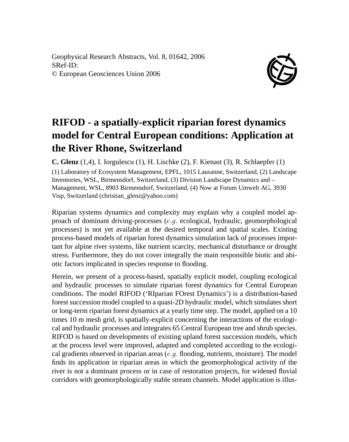Geophysical Research Abstracts, Vol. 8, 01642, 2006 SRef-ID: © European Geosciences Union 2006



## **RIFOD - a spatially-explicit riparian forest dynamics model for Central European conditions: Application at the River Rhone, Switzerland**

**C. Glenz** (1,4), I. Iorgulescu (1), H. Lischke (2), F. Kienast (3), R. Schlaepfer (1) (1) Laboratory of Ecosystem Management, EPFL, 1015 Lausanne, Switzerland, (2) Landscape Inventories, WSL, Birmensdorf, Switzerland, (3) Division Landscape Dynamics and – Management, WSL, 8903 Birmensdorf, Switzerland, (4) Now at Forum Umwelt AG, 3930 Visp, Switzerland (christian\_glenz@yahoo.com)

Riparian systems dynamics and complexity may explain why a coupled model approach of dominant driving-processes  $(e,q, ecological, hydraulic, geomorphological)$ processes) is not yet available at the desired temporal and spatial scales. Existing process-based models of riparian forest dynamics simulation lack of processes important for alpine river systems, like nutrient scarcity, mechanical disturbance or drought stress. Furthermore, they do not cover integrally the main responsible biotic and abiotic factors implicated in species response to flooding.

Herein, we present of a process-based, spatially explicit model, coupling ecological and hydraulic processes to simulate riparian forest dynamics for Central European conditions. The model RIFOD ('RIparian FOrest Dynamics') is a distribution-based forest succession model coupled to a quasi-2D hydraulic model, which simulates short or long-term riparian forest dynamics at a yearly time step. The model, applied on a 10 times 10 m mesh grid, is spatially-explicit concerning the interactions of the ecological and hydraulic processes and integrates 65 Central European tree and shrub species. RIFOD is based on developments of existing upland forest succession models, which at the process level were improved, adapted and completed according to the ecological gradients observed in riparian areas  $(e, q$ . flooding, nutrients, moisture). The model finds its application in riparian areas in which the geomorphological activity of the river is not a dominant process or in case of restoration projects, for widened fluvial corridors with geomorphologically stable stream channels. Model application is illus